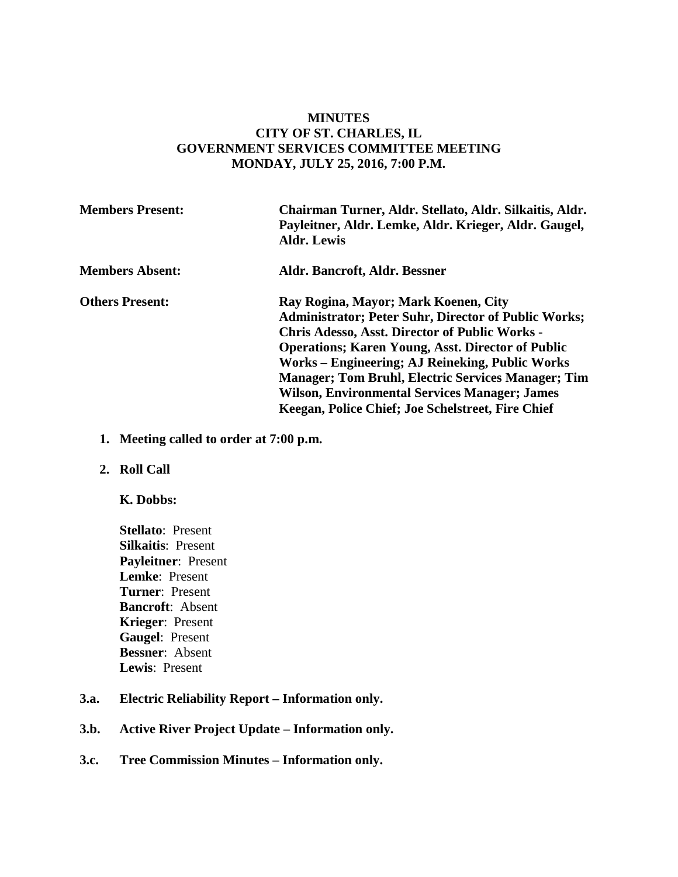# **MINUTES CITY OF ST. CHARLES, IL GOVERNMENT SERVICES COMMITTEE MEETING MONDAY, JULY 25, 2016, 7:00 P.M.**

| <b>Members Present:</b> | Chairman Turner, Aldr. Stellato, Aldr. Silkaitis, Aldr.<br>Payleitner, Aldr. Lemke, Aldr. Krieger, Aldr. Gaugel,<br><b>Aldr. Lewis</b>                                                                                                                                                                                                                                                                                                                |
|-------------------------|-------------------------------------------------------------------------------------------------------------------------------------------------------------------------------------------------------------------------------------------------------------------------------------------------------------------------------------------------------------------------------------------------------------------------------------------------------|
| <b>Members Absent:</b>  | Aldr. Bancroft, Aldr. Bessner                                                                                                                                                                                                                                                                                                                                                                                                                         |
| <b>Others Present:</b>  | Ray Rogina, Mayor; Mark Koenen, City<br><b>Administrator; Peter Suhr, Director of Public Works;</b><br><b>Chris Adesso, Asst. Director of Public Works -</b><br><b>Operations: Karen Young, Asst. Director of Public</b><br>Works – Engineering; AJ Reineking, Public Works<br><b>Manager; Tom Bruhl, Electric Services Manager; Tim</b><br><b>Wilson, Environmental Services Manager; James</b><br>Keegan, Police Chief; Joe Schelstreet, Fire Chief |

- **1. Meeting called to order at 7:00 p.m.**
- **2. Roll Call** 
	- **K. Dobbs:**
	- **Stellato**: Present **Silkaitis**: Present **Payleitner**: Present **Lemke**: Present **Turner**: Present **Bancroft**: Absent **Krieger**: Present **Gaugel**: Present **Bessner**: Absent **Lewis**: Present
- **3.a. Electric Reliability Report – Information only.**
- **3.b. Active River Project Update – Information only.**
- **3.c. Tree Commission Minutes – Information only.**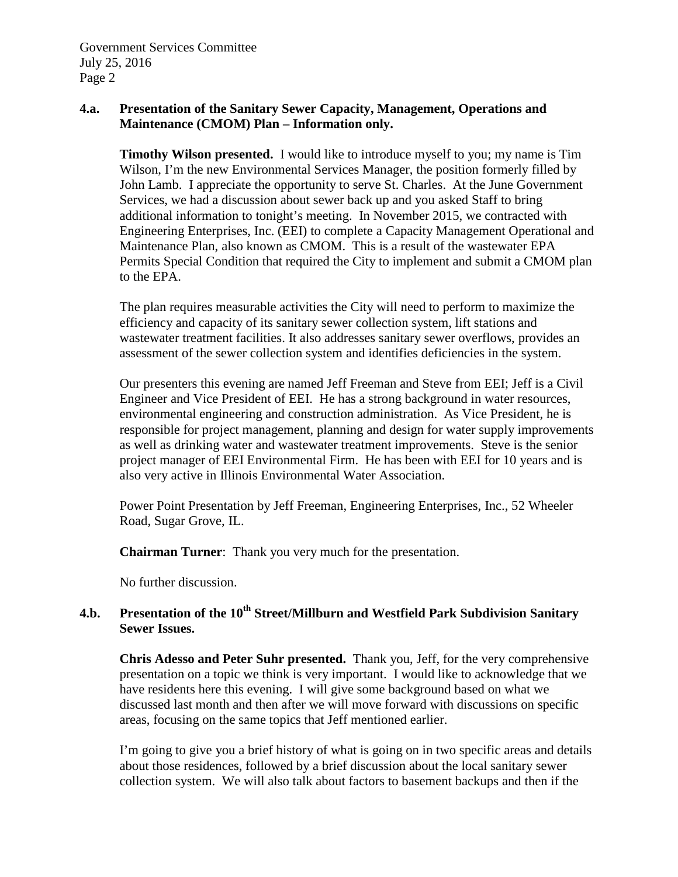# **4.a. Presentation of the Sanitary Sewer Capacity, Management, Operations and Maintenance (CMOM) Plan – Information only.**

**Timothy Wilson presented.** I would like to introduce myself to you; my name is Tim Wilson, I'm the new Environmental Services Manager, the position formerly filled by John Lamb. I appreciate the opportunity to serve St. Charles. At the June Government Services, we had a discussion about sewer back up and you asked Staff to bring additional information to tonight's meeting. In November 2015, we contracted with Engineering Enterprises, Inc. (EEI) to complete a Capacity Management Operational and Maintenance Plan, also known as CMOM. This is a result of the wastewater EPA Permits Special Condition that required the City to implement and submit a CMOM plan to the EPA.

The plan requires measurable activities the City will need to perform to maximize the efficiency and capacity of its sanitary sewer collection system, lift stations and wastewater treatment facilities. It also addresses sanitary sewer overflows, provides an assessment of the sewer collection system and identifies deficiencies in the system.

Our presenters this evening are named Jeff Freeman and Steve from EEI; Jeff is a Civil Engineer and Vice President of EEI. He has a strong background in water resources, environmental engineering and construction administration. As Vice President, he is responsible for project management, planning and design for water supply improvements as well as drinking water and wastewater treatment improvements. Steve is the senior project manager of EEI Environmental Firm. He has been with EEI for 10 years and is also very active in Illinois Environmental Water Association.

Power Point Presentation by Jeff Freeman, Engineering Enterprises, Inc., 52 Wheeler Road, Sugar Grove, IL.

**Chairman Turner**: Thank you very much for the presentation.

No further discussion.

# 4.b. Presentation of the 10<sup>th</sup> Street/Millburn and Westfield Park Subdivision Sanitary **Sewer Issues.**

**Chris Adesso and Peter Suhr presented.** Thank you, Jeff, for the very comprehensive presentation on a topic we think is very important. I would like to acknowledge that we have residents here this evening. I will give some background based on what we discussed last month and then after we will move forward with discussions on specific areas, focusing on the same topics that Jeff mentioned earlier.

I'm going to give you a brief history of what is going on in two specific areas and details about those residences, followed by a brief discussion about the local sanitary sewer collection system. We will also talk about factors to basement backups and then if the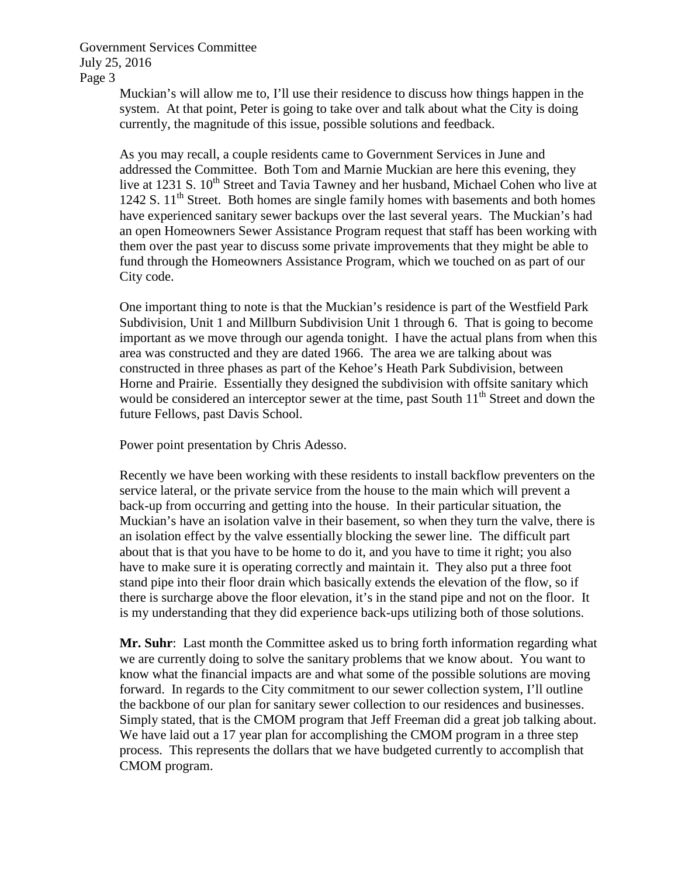> Muckian's will allow me to, I'll use their residence to discuss how things happen in the system. At that point, Peter is going to take over and talk about what the City is doing currently, the magnitude of this issue, possible solutions and feedback.

As you may recall, a couple residents came to Government Services in June and addressed the Committee. Both Tom and Marnie Muckian are here this evening, they live at 1231 S. 10<sup>th</sup> Street and Tavia Tawney and her husband, Michael Cohen who live at 1242 S.  $11<sup>th</sup>$  Street. Both homes are single family homes with basements and both homes have experienced sanitary sewer backups over the last several years. The Muckian's had an open Homeowners Sewer Assistance Program request that staff has been working with them over the past year to discuss some private improvements that they might be able to fund through the Homeowners Assistance Program, which we touched on as part of our City code.

One important thing to note is that the Muckian's residence is part of the Westfield Park Subdivision, Unit 1 and Millburn Subdivision Unit 1 through 6. That is going to become important as we move through our agenda tonight. I have the actual plans from when this area was constructed and they are dated 1966. The area we are talking about was constructed in three phases as part of the Kehoe's Heath Park Subdivision, between Horne and Prairie. Essentially they designed the subdivision with offsite sanitary which would be considered an interceptor sewer at the time, past South  $11<sup>th</sup>$  Street and down the future Fellows, past Davis School.

Power point presentation by Chris Adesso.

Recently we have been working with these residents to install backflow preventers on the service lateral, or the private service from the house to the main which will prevent a back-up from occurring and getting into the house. In their particular situation, the Muckian's have an isolation valve in their basement, so when they turn the valve, there is an isolation effect by the valve essentially blocking the sewer line. The difficult part about that is that you have to be home to do it, and you have to time it right; you also have to make sure it is operating correctly and maintain it. They also put a three foot stand pipe into their floor drain which basically extends the elevation of the flow, so if there is surcharge above the floor elevation, it's in the stand pipe and not on the floor. It is my understanding that they did experience back-ups utilizing both of those solutions.

**Mr. Suhr**: Last month the Committee asked us to bring forth information regarding what we are currently doing to solve the sanitary problems that we know about. You want to know what the financial impacts are and what some of the possible solutions are moving forward. In regards to the City commitment to our sewer collection system, I'll outline the backbone of our plan for sanitary sewer collection to our residences and businesses. Simply stated, that is the CMOM program that Jeff Freeman did a great job talking about. We have laid out a 17 year plan for accomplishing the CMOM program in a three step process. This represents the dollars that we have budgeted currently to accomplish that CMOM program.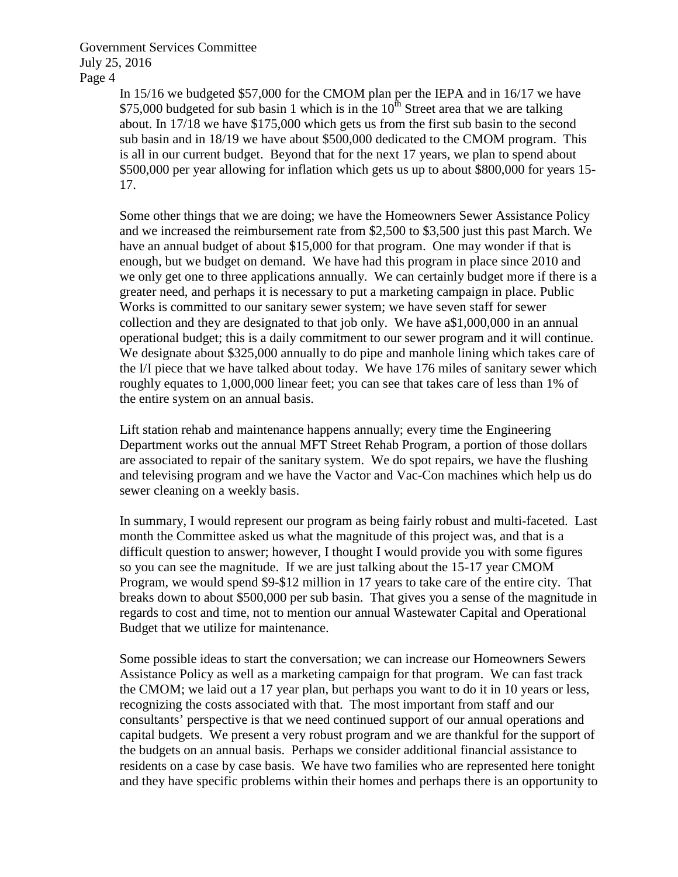In 15/16 we budgeted \$57,000 for the CMOM plan per the IEPA and in 16/17 we have \$75,000 budgeted for sub basin 1 which is in the  $10<sup>th</sup>$  Street area that we are talking about. In 17/18 we have \$175,000 which gets us from the first sub basin to the second sub basin and in 18/19 we have about \$500,000 dedicated to the CMOM program. This is all in our current budget. Beyond that for the next 17 years, we plan to spend about \$500,000 per year allowing for inflation which gets us up to about \$800,000 for years 15- 17.

Some other things that we are doing; we have the Homeowners Sewer Assistance Policy and we increased the reimbursement rate from \$2,500 to \$3,500 just this past March. We have an annual budget of about \$15,000 for that program. One may wonder if that is enough, but we budget on demand. We have had this program in place since 2010 and we only get one to three applications annually. We can certainly budget more if there is a greater need, and perhaps it is necessary to put a marketing campaign in place. Public Works is committed to our sanitary sewer system; we have seven staff for sewer collection and they are designated to that job only. We have a\$1,000,000 in an annual operational budget; this is a daily commitment to our sewer program and it will continue. We designate about \$325,000 annually to do pipe and manhole lining which takes care of the I/I piece that we have talked about today. We have 176 miles of sanitary sewer which roughly equates to 1,000,000 linear feet; you can see that takes care of less than 1% of the entire system on an annual basis.

Lift station rehab and maintenance happens annually; every time the Engineering Department works out the annual MFT Street Rehab Program, a portion of those dollars are associated to repair of the sanitary system. We do spot repairs, we have the flushing and televising program and we have the Vactor and Vac-Con machines which help us do sewer cleaning on a weekly basis.

In summary, I would represent our program as being fairly robust and multi-faceted. Last month the Committee asked us what the magnitude of this project was, and that is a difficult question to answer; however, I thought I would provide you with some figures so you can see the magnitude. If we are just talking about the 15-17 year CMOM Program, we would spend \$9-\$12 million in 17 years to take care of the entire city. That breaks down to about \$500,000 per sub basin. That gives you a sense of the magnitude in regards to cost and time, not to mention our annual Wastewater Capital and Operational Budget that we utilize for maintenance.

Some possible ideas to start the conversation; we can increase our Homeowners Sewers Assistance Policy as well as a marketing campaign for that program. We can fast track the CMOM; we laid out a 17 year plan, but perhaps you want to do it in 10 years or less, recognizing the costs associated with that. The most important from staff and our consultants' perspective is that we need continued support of our annual operations and capital budgets. We present a very robust program and we are thankful for the support of the budgets on an annual basis. Perhaps we consider additional financial assistance to residents on a case by case basis. We have two families who are represented here tonight and they have specific problems within their homes and perhaps there is an opportunity to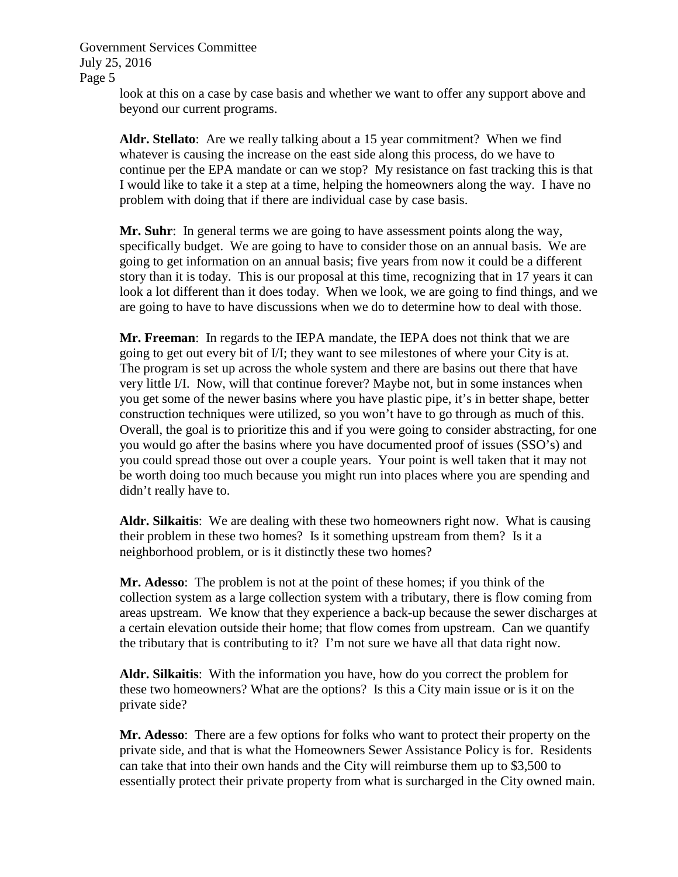> look at this on a case by case basis and whether we want to offer any support above and beyond our current programs.

**Aldr. Stellato**: Are we really talking about a 15 year commitment? When we find whatever is causing the increase on the east side along this process, do we have to continue per the EPA mandate or can we stop? My resistance on fast tracking this is that I would like to take it a step at a time, helping the homeowners along the way. I have no problem with doing that if there are individual case by case basis.

**Mr. Suhr**: In general terms we are going to have assessment points along the way, specifically budget. We are going to have to consider those on an annual basis. We are going to get information on an annual basis; five years from now it could be a different story than it is today. This is our proposal at this time, recognizing that in 17 years it can look a lot different than it does today. When we look, we are going to find things, and we are going to have to have discussions when we do to determine how to deal with those.

**Mr. Freeman**: In regards to the IEPA mandate, the IEPA does not think that we are going to get out every bit of I/I; they want to see milestones of where your City is at. The program is set up across the whole system and there are basins out there that have very little I/I. Now, will that continue forever? Maybe not, but in some instances when you get some of the newer basins where you have plastic pipe, it's in better shape, better construction techniques were utilized, so you won't have to go through as much of this. Overall, the goal is to prioritize this and if you were going to consider abstracting, for one you would go after the basins where you have documented proof of issues (SSO's) and you could spread those out over a couple years. Your point is well taken that it may not be worth doing too much because you might run into places where you are spending and didn't really have to.

**Aldr. Silkaitis**: We are dealing with these two homeowners right now. What is causing their problem in these two homes? Is it something upstream from them? Is it a neighborhood problem, or is it distinctly these two homes?

**Mr. Adesso**: The problem is not at the point of these homes; if you think of the collection system as a large collection system with a tributary, there is flow coming from areas upstream. We know that they experience a back-up because the sewer discharges at a certain elevation outside their home; that flow comes from upstream. Can we quantify the tributary that is contributing to it? I'm not sure we have all that data right now.

**Aldr. Silkaitis**: With the information you have, how do you correct the problem for these two homeowners? What are the options? Is this a City main issue or is it on the private side?

**Mr. Adesso**: There are a few options for folks who want to protect their property on the private side, and that is what the Homeowners Sewer Assistance Policy is for. Residents can take that into their own hands and the City will reimburse them up to \$3,500 to essentially protect their private property from what is surcharged in the City owned main.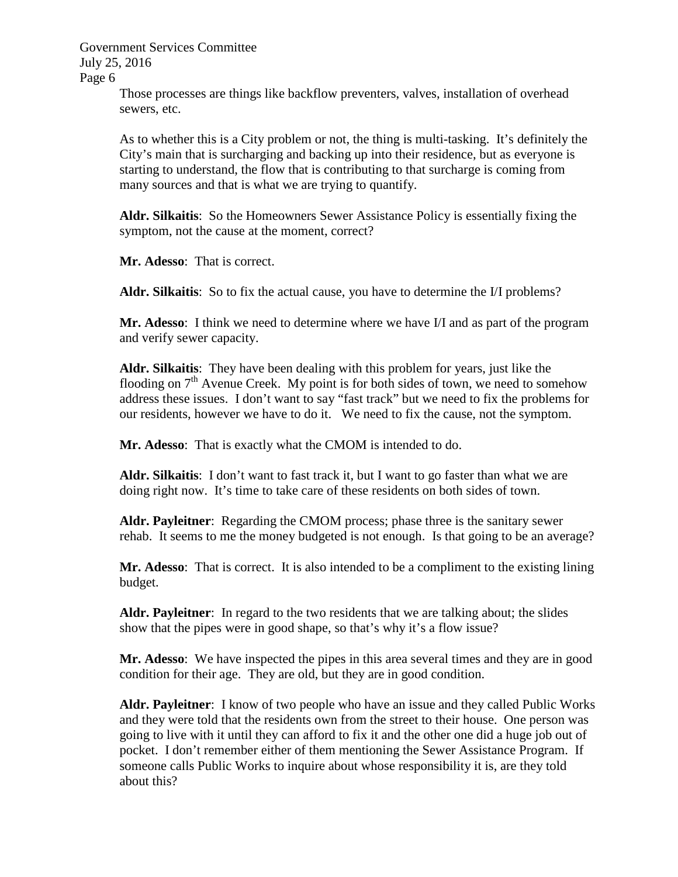Government Services Committee July 25, 2016

Page 6

Those processes are things like backflow preventers, valves, installation of overhead sewers, etc.

As to whether this is a City problem or not, the thing is multi-tasking. It's definitely the City's main that is surcharging and backing up into their residence, but as everyone is starting to understand, the flow that is contributing to that surcharge is coming from many sources and that is what we are trying to quantify.

**Aldr. Silkaitis**: So the Homeowners Sewer Assistance Policy is essentially fixing the symptom, not the cause at the moment, correct?

**Mr. Adesso**: That is correct.

**Aldr. Silkaitis**: So to fix the actual cause, you have to determine the I/I problems?

**Mr. Adesso**: I think we need to determine where we have I/I and as part of the program and verify sewer capacity.

**Aldr. Silkaitis**: They have been dealing with this problem for years, just like the flooding on  $7<sup>th</sup>$  Avenue Creek. My point is for both sides of town, we need to somehow address these issues. I don't want to say "fast track" but we need to fix the problems for our residents, however we have to do it. We need to fix the cause, not the symptom.

**Mr. Adesso**: That is exactly what the CMOM is intended to do.

**Aldr. Silkaitis**: I don't want to fast track it, but I want to go faster than what we are doing right now. It's time to take care of these residents on both sides of town.

**Aldr. Payleitner**: Regarding the CMOM process; phase three is the sanitary sewer rehab. It seems to me the money budgeted is not enough. Is that going to be an average?

**Mr. Adesso**: That is correct. It is also intended to be a compliment to the existing lining budget.

**Aldr. Payleitner**: In regard to the two residents that we are talking about; the slides show that the pipes were in good shape, so that's why it's a flow issue?

**Mr. Adesso**: We have inspected the pipes in this area several times and they are in good condition for their age. They are old, but they are in good condition.

**Aldr. Payleitner**: I know of two people who have an issue and they called Public Works and they were told that the residents own from the street to their house. One person was going to live with it until they can afford to fix it and the other one did a huge job out of pocket. I don't remember either of them mentioning the Sewer Assistance Program. If someone calls Public Works to inquire about whose responsibility it is, are they told about this?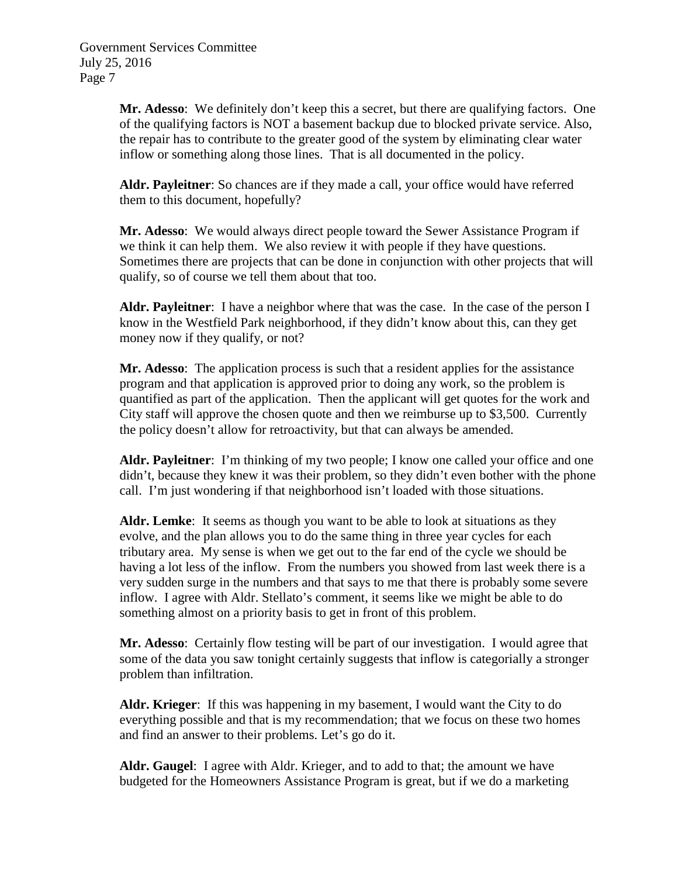**Mr. Adesso**: We definitely don't keep this a secret, but there are qualifying factors. One of the qualifying factors is NOT a basement backup due to blocked private service. Also, the repair has to contribute to the greater good of the system by eliminating clear water inflow or something along those lines. That is all documented in the policy.

**Aldr. Payleitner**: So chances are if they made a call, your office would have referred them to this document, hopefully?

**Mr. Adesso**: We would always direct people toward the Sewer Assistance Program if we think it can help them. We also review it with people if they have questions. Sometimes there are projects that can be done in conjunction with other projects that will qualify, so of course we tell them about that too.

**Aldr. Payleitner**: I have a neighbor where that was the case. In the case of the person I know in the Westfield Park neighborhood, if they didn't know about this, can they get money now if they qualify, or not?

**Mr. Adesso**: The application process is such that a resident applies for the assistance program and that application is approved prior to doing any work, so the problem is quantified as part of the application. Then the applicant will get quotes for the work and City staff will approve the chosen quote and then we reimburse up to \$3,500. Currently the policy doesn't allow for retroactivity, but that can always be amended.

**Aldr. Payleitner**: I'm thinking of my two people; I know one called your office and one didn't, because they knew it was their problem, so they didn't even bother with the phone call. I'm just wondering if that neighborhood isn't loaded with those situations.

**Aldr. Lemke**: It seems as though you want to be able to look at situations as they evolve, and the plan allows you to do the same thing in three year cycles for each tributary area. My sense is when we get out to the far end of the cycle we should be having a lot less of the inflow. From the numbers you showed from last week there is a very sudden surge in the numbers and that says to me that there is probably some severe inflow. I agree with Aldr. Stellato's comment, it seems like we might be able to do something almost on a priority basis to get in front of this problem.

**Mr. Adesso**: Certainly flow testing will be part of our investigation. I would agree that some of the data you saw tonight certainly suggests that inflow is categorially a stronger problem than infiltration.

**Aldr. Krieger**: If this was happening in my basement, I would want the City to do everything possible and that is my recommendation; that we focus on these two homes and find an answer to their problems. Let's go do it.

**Aldr. Gaugel**: I agree with Aldr. Krieger, and to add to that; the amount we have budgeted for the Homeowners Assistance Program is great, but if we do a marketing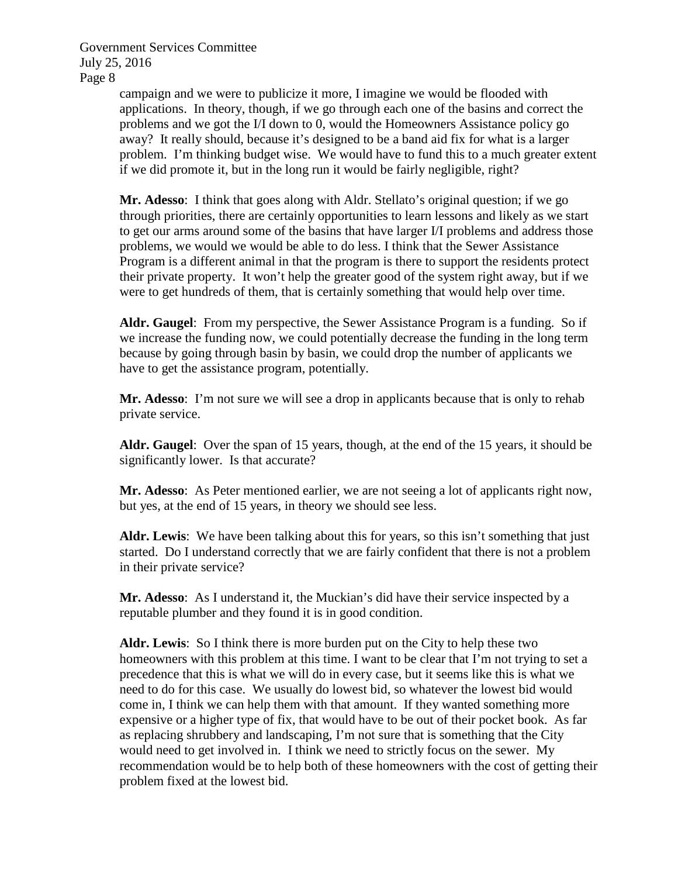> campaign and we were to publicize it more, I imagine we would be flooded with applications. In theory, though, if we go through each one of the basins and correct the problems and we got the I/I down to 0, would the Homeowners Assistance policy go away? It really should, because it's designed to be a band aid fix for what is a larger problem. I'm thinking budget wise. We would have to fund this to a much greater extent if we did promote it, but in the long run it would be fairly negligible, right?

> **Mr. Adesso**: I think that goes along with Aldr. Stellato's original question; if we go through priorities, there are certainly opportunities to learn lessons and likely as we start to get our arms around some of the basins that have larger I/I problems and address those problems, we would we would be able to do less. I think that the Sewer Assistance Program is a different animal in that the program is there to support the residents protect their private property. It won't help the greater good of the system right away, but if we were to get hundreds of them, that is certainly something that would help over time.

> **Aldr. Gaugel**: From my perspective, the Sewer Assistance Program is a funding. So if we increase the funding now, we could potentially decrease the funding in the long term because by going through basin by basin, we could drop the number of applicants we have to get the assistance program, potentially.

> **Mr. Adesso**: I'm not sure we will see a drop in applicants because that is only to rehab private service.

**Aldr. Gaugel**: Over the span of 15 years, though, at the end of the 15 years, it should be significantly lower. Is that accurate?

**Mr. Adesso**: As Peter mentioned earlier, we are not seeing a lot of applicants right now, but yes, at the end of 15 years, in theory we should see less.

**Aldr. Lewis**: We have been talking about this for years, so this isn't something that just started. Do I understand correctly that we are fairly confident that there is not a problem in their private service?

**Mr. Adesso**: As I understand it, the Muckian's did have their service inspected by a reputable plumber and they found it is in good condition.

**Aldr. Lewis**: So I think there is more burden put on the City to help these two homeowners with this problem at this time. I want to be clear that I'm not trying to set a precedence that this is what we will do in every case, but it seems like this is what we need to do for this case. We usually do lowest bid, so whatever the lowest bid would come in, I think we can help them with that amount. If they wanted something more expensive or a higher type of fix, that would have to be out of their pocket book. As far as replacing shrubbery and landscaping, I'm not sure that is something that the City would need to get involved in. I think we need to strictly focus on the sewer. My recommendation would be to help both of these homeowners with the cost of getting their problem fixed at the lowest bid.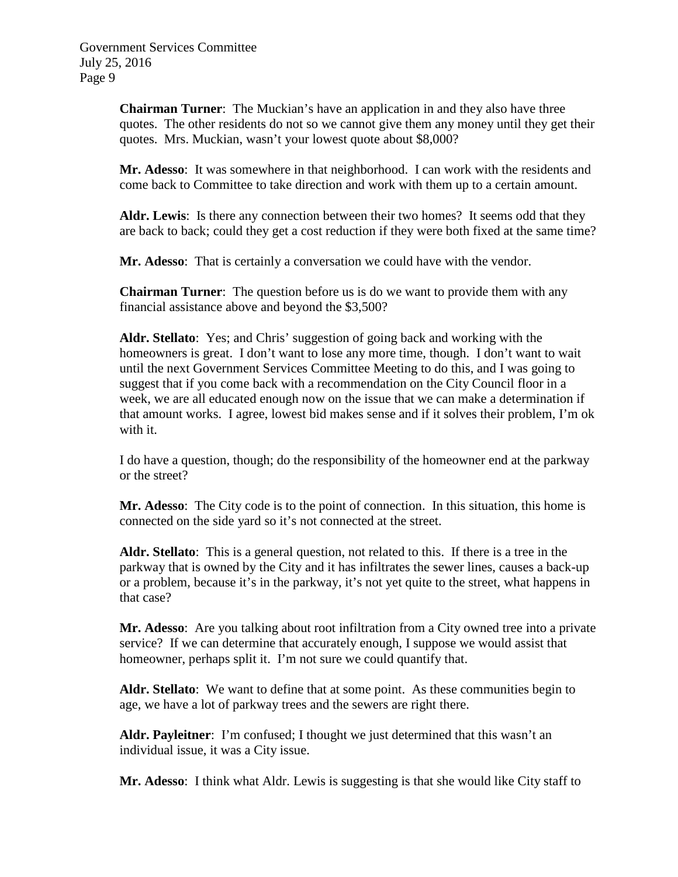**Chairman Turner**: The Muckian's have an application in and they also have three quotes. The other residents do not so we cannot give them any money until they get their quotes. Mrs. Muckian, wasn't your lowest quote about \$8,000?

**Mr. Adesso**: It was somewhere in that neighborhood. I can work with the residents and come back to Committee to take direction and work with them up to a certain amount.

**Aldr. Lewis**: Is there any connection between their two homes? It seems odd that they are back to back; could they get a cost reduction if they were both fixed at the same time?

**Mr. Adesso**: That is certainly a conversation we could have with the vendor.

**Chairman Turner**: The question before us is do we want to provide them with any financial assistance above and beyond the \$3,500?

**Aldr. Stellato**: Yes; and Chris' suggestion of going back and working with the homeowners is great. I don't want to lose any more time, though. I don't want to wait until the next Government Services Committee Meeting to do this, and I was going to suggest that if you come back with a recommendation on the City Council floor in a week, we are all educated enough now on the issue that we can make a determination if that amount works. I agree, lowest bid makes sense and if it solves their problem, I'm ok with it.

I do have a question, though; do the responsibility of the homeowner end at the parkway or the street?

**Mr. Adesso**: The City code is to the point of connection. In this situation, this home is connected on the side yard so it's not connected at the street.

**Aldr. Stellato**: This is a general question, not related to this. If there is a tree in the parkway that is owned by the City and it has infiltrates the sewer lines, causes a back-up or a problem, because it's in the parkway, it's not yet quite to the street, what happens in that case?

**Mr. Adesso**: Are you talking about root infiltration from a City owned tree into a private service? If we can determine that accurately enough, I suppose we would assist that homeowner, perhaps split it. I'm not sure we could quantify that.

**Aldr. Stellato**: We want to define that at some point. As these communities begin to age, we have a lot of parkway trees and the sewers are right there.

**Aldr. Payleitner**: I'm confused; I thought we just determined that this wasn't an individual issue, it was a City issue.

**Mr. Adesso**: I think what Aldr. Lewis is suggesting is that she would like City staff to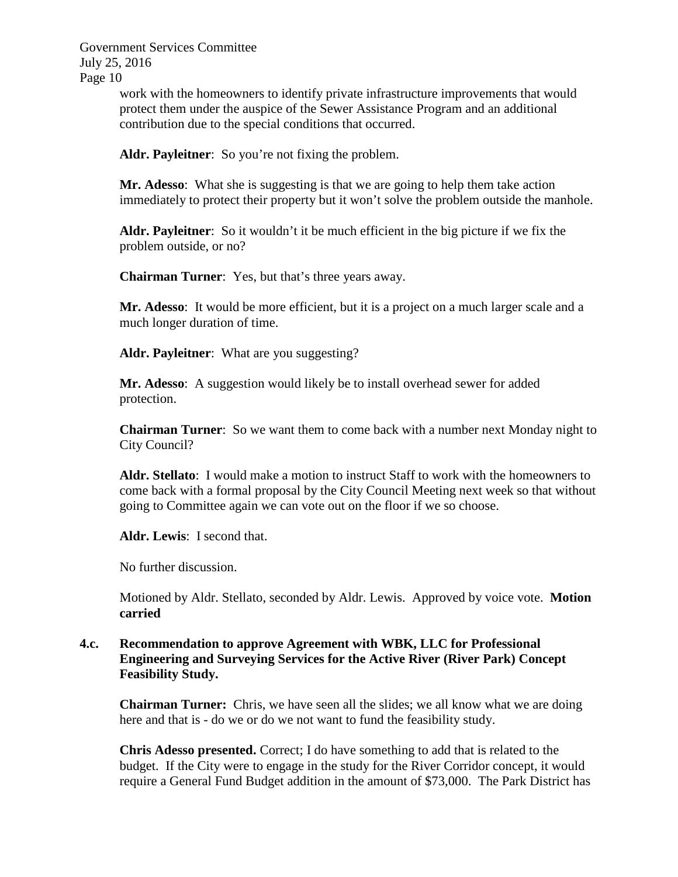> work with the homeowners to identify private infrastructure improvements that would protect them under the auspice of the Sewer Assistance Program and an additional contribution due to the special conditions that occurred.

Aldr. Payleitner: So you're not fixing the problem.

**Mr. Adesso**: What she is suggesting is that we are going to help them take action immediately to protect their property but it won't solve the problem outside the manhole.

**Aldr. Payleitner**: So it wouldn't it be much efficient in the big picture if we fix the problem outside, or no?

**Chairman Turner**: Yes, but that's three years away.

**Mr. Adesso**: It would be more efficient, but it is a project on a much larger scale and a much longer duration of time.

**Aldr. Payleitner**: What are you suggesting?

**Mr. Adesso**: A suggestion would likely be to install overhead sewer for added protection.

**Chairman Turner**: So we want them to come back with a number next Monday night to City Council?

**Aldr. Stellato**: I would make a motion to instruct Staff to work with the homeowners to come back with a formal proposal by the City Council Meeting next week so that without going to Committee again we can vote out on the floor if we so choose.

**Aldr. Lewis**: I second that.

No further discussion.

Motioned by Aldr. Stellato, seconded by Aldr. Lewis. Approved by voice vote. **Motion carried**

# **4.c. Recommendation to approve Agreement with WBK, LLC for Professional Engineering and Surveying Services for the Active River (River Park) Concept Feasibility Study.**

**Chairman Turner:** Chris, we have seen all the slides; we all know what we are doing here and that is - do we or do we not want to fund the feasibility study.

**Chris Adesso presented.** Correct; I do have something to add that is related to the budget. If the City were to engage in the study for the River Corridor concept, it would require a General Fund Budget addition in the amount of \$73,000. The Park District has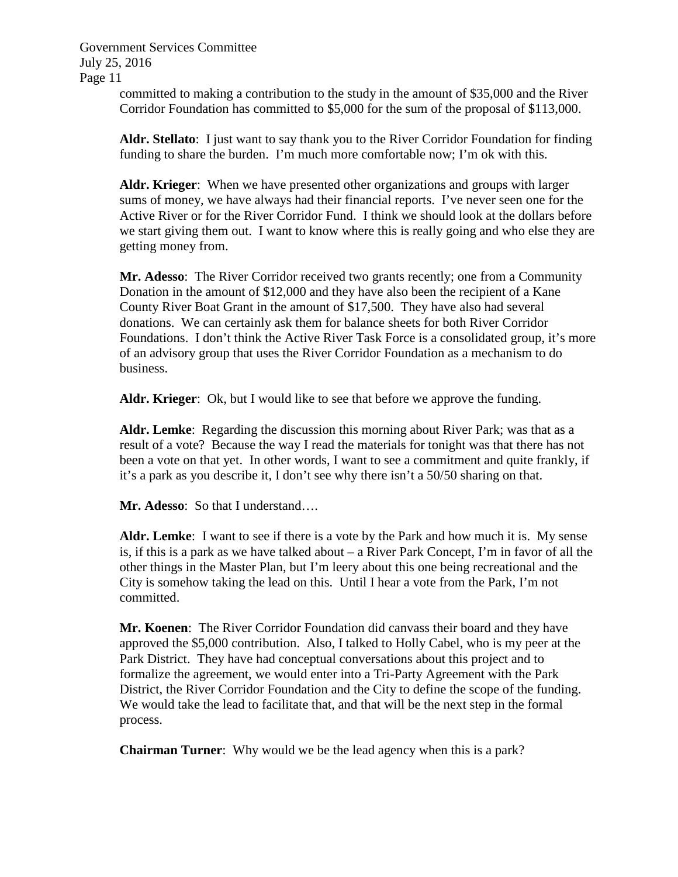> committed to making a contribution to the study in the amount of \$35,000 and the River Corridor Foundation has committed to \$5,000 for the sum of the proposal of \$113,000.

**Aldr. Stellato**: I just want to say thank you to the River Corridor Foundation for finding funding to share the burden. I'm much more comfortable now; I'm ok with this.

**Aldr. Krieger**: When we have presented other organizations and groups with larger sums of money, we have always had their financial reports. I've never seen one for the Active River or for the River Corridor Fund. I think we should look at the dollars before we start giving them out. I want to know where this is really going and who else they are getting money from.

**Mr. Adesso**: The River Corridor received two grants recently; one from a Community Donation in the amount of \$12,000 and they have also been the recipient of a Kane County River Boat Grant in the amount of \$17,500. They have also had several donations. We can certainly ask them for balance sheets for both River Corridor Foundations. I don't think the Active River Task Force is a consolidated group, it's more of an advisory group that uses the River Corridor Foundation as a mechanism to do business.

**Aldr. Krieger**: Ok, but I would like to see that before we approve the funding.

**Aldr. Lemke**: Regarding the discussion this morning about River Park; was that as a result of a vote? Because the way I read the materials for tonight was that there has not been a vote on that yet. In other words, I want to see a commitment and quite frankly, if it's a park as you describe it, I don't see why there isn't a 50/50 sharing on that.

**Mr. Adesso**: So that I understand….

**Aldr. Lemke**: I want to see if there is a vote by the Park and how much it is. My sense is, if this is a park as we have talked about – a River Park Concept, I'm in favor of all the other things in the Master Plan, but I'm leery about this one being recreational and the City is somehow taking the lead on this. Until I hear a vote from the Park, I'm not committed.

**Mr. Koenen**: The River Corridor Foundation did canvass their board and they have approved the \$5,000 contribution. Also, I talked to Holly Cabel, who is my peer at the Park District. They have had conceptual conversations about this project and to formalize the agreement, we would enter into a Tri-Party Agreement with the Park District, the River Corridor Foundation and the City to define the scope of the funding. We would take the lead to facilitate that, and that will be the next step in the formal process.

**Chairman Turner**: Why would we be the lead agency when this is a park?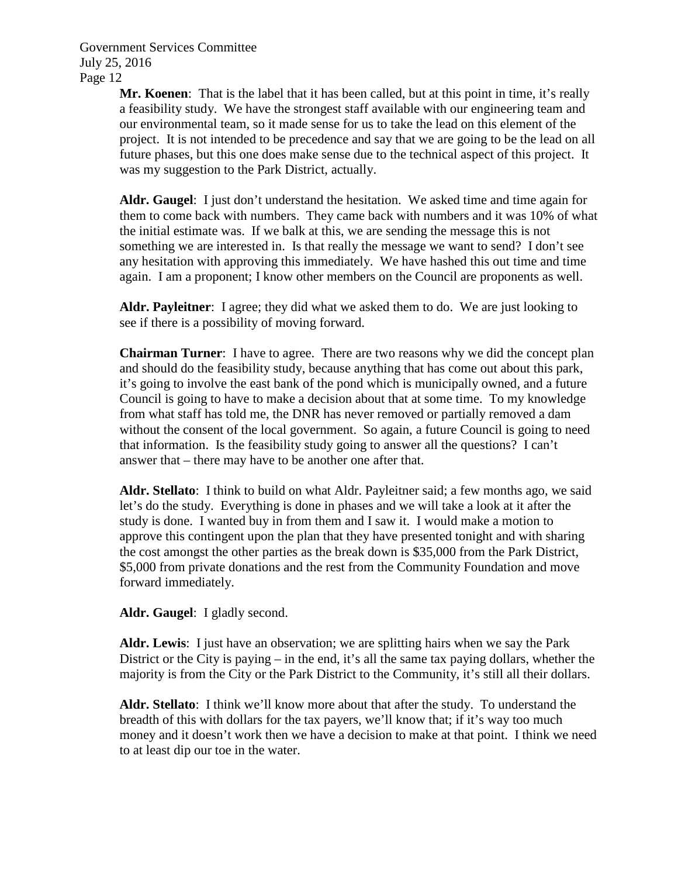> **Mr. Koenen**: That is the label that it has been called, but at this point in time, it's really a feasibility study. We have the strongest staff available with our engineering team and our environmental team, so it made sense for us to take the lead on this element of the project. It is not intended to be precedence and say that we are going to be the lead on all future phases, but this one does make sense due to the technical aspect of this project. It was my suggestion to the Park District, actually.

> **Aldr. Gaugel**: I just don't understand the hesitation. We asked time and time again for them to come back with numbers. They came back with numbers and it was 10% of what the initial estimate was. If we balk at this, we are sending the message this is not something we are interested in. Is that really the message we want to send? I don't see any hesitation with approving this immediately. We have hashed this out time and time again. I am a proponent; I know other members on the Council are proponents as well.

**Aldr. Payleitner**: I agree; they did what we asked them to do. We are just looking to see if there is a possibility of moving forward.

**Chairman Turner**: I have to agree. There are two reasons why we did the concept plan and should do the feasibility study, because anything that has come out about this park, it's going to involve the east bank of the pond which is municipally owned, and a future Council is going to have to make a decision about that at some time. To my knowledge from what staff has told me, the DNR has never removed or partially removed a dam without the consent of the local government. So again, a future Council is going to need that information. Is the feasibility study going to answer all the questions? I can't answer that – there may have to be another one after that.

**Aldr. Stellato**: I think to build on what Aldr. Payleitner said; a few months ago, we said let's do the study. Everything is done in phases and we will take a look at it after the study is done. I wanted buy in from them and I saw it. I would make a motion to approve this contingent upon the plan that they have presented tonight and with sharing the cost amongst the other parties as the break down is \$35,000 from the Park District, \$5,000 from private donations and the rest from the Community Foundation and move forward immediately.

**Aldr. Gaugel**: I gladly second.

**Aldr. Lewis**: I just have an observation; we are splitting hairs when we say the Park District or the City is paying – in the end, it's all the same tax paying dollars, whether the majority is from the City or the Park District to the Community, it's still all their dollars.

**Aldr. Stellato**: I think we'll know more about that after the study. To understand the breadth of this with dollars for the tax payers, we'll know that; if it's way too much money and it doesn't work then we have a decision to make at that point. I think we need to at least dip our toe in the water.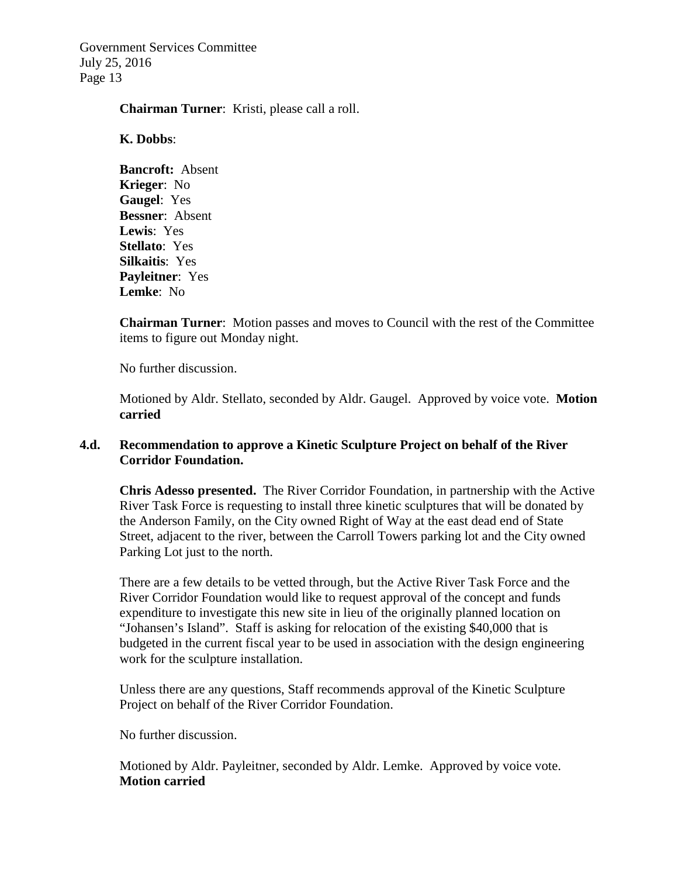#### **Chairman Turner**: Kristi, please call a roll.

#### **K. Dobbs**:

**Bancroft:** Absent **Krieger**: No **Gaugel**: Yes **Bessner**: Absent **Lewis**: Yes **Stellato**: Yes **Silkaitis**: Yes **Payleitner**: Yes **Lemke**: No

**Chairman Turner**: Motion passes and moves to Council with the rest of the Committee items to figure out Monday night.

No further discussion.

Motioned by Aldr. Stellato, seconded by Aldr. Gaugel. Approved by voice vote. **Motion carried**

# **4.d. Recommendation to approve a Kinetic Sculpture Project on behalf of the River Corridor Foundation.**

**Chris Adesso presented.** The River Corridor Foundation, in partnership with the Active River Task Force is requesting to install three kinetic sculptures that will be donated by the Anderson Family, on the City owned Right of Way at the east dead end of State Street, adjacent to the river, between the Carroll Towers parking lot and the City owned Parking Lot just to the north.

There are a few details to be vetted through, but the Active River Task Force and the River Corridor Foundation would like to request approval of the concept and funds expenditure to investigate this new site in lieu of the originally planned location on "Johansen's Island". Staff is asking for relocation of the existing \$40,000 that is budgeted in the current fiscal year to be used in association with the design engineering work for the sculpture installation.

Unless there are any questions, Staff recommends approval of the Kinetic Sculpture Project on behalf of the River Corridor Foundation.

No further discussion.

Motioned by Aldr. Payleitner, seconded by Aldr. Lemke. Approved by voice vote. **Motion carried**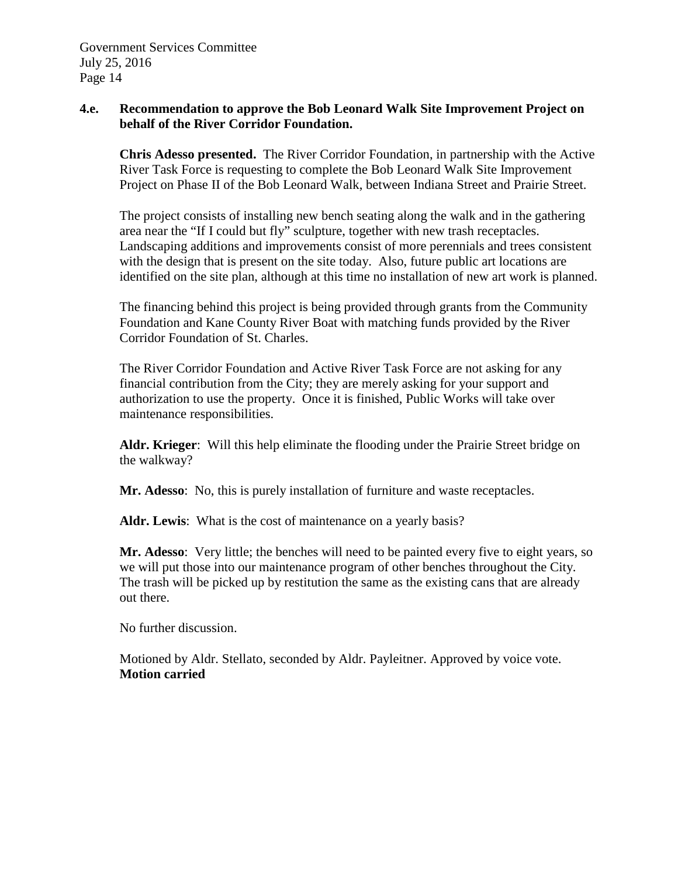# **4.e. Recommendation to approve the Bob Leonard Walk Site Improvement Project on behalf of the River Corridor Foundation.**

**Chris Adesso presented.** The River Corridor Foundation, in partnership with the Active River Task Force is requesting to complete the Bob Leonard Walk Site Improvement Project on Phase II of the Bob Leonard Walk, between Indiana Street and Prairie Street.

The project consists of installing new bench seating along the walk and in the gathering area near the "If I could but fly" sculpture, together with new trash receptacles. Landscaping additions and improvements consist of more perennials and trees consistent with the design that is present on the site today. Also, future public art locations are identified on the site plan, although at this time no installation of new art work is planned.

The financing behind this project is being provided through grants from the Community Foundation and Kane County River Boat with matching funds provided by the River Corridor Foundation of St. Charles.

The River Corridor Foundation and Active River Task Force are not asking for any financial contribution from the City; they are merely asking for your support and authorization to use the property. Once it is finished, Public Works will take over maintenance responsibilities.

**Aldr. Krieger**: Will this help eliminate the flooding under the Prairie Street bridge on the walkway?

**Mr. Adesso**: No, this is purely installation of furniture and waste receptacles.

**Aldr. Lewis**: What is the cost of maintenance on a yearly basis?

**Mr. Adesso**: Very little; the benches will need to be painted every five to eight years, so we will put those into our maintenance program of other benches throughout the City. The trash will be picked up by restitution the same as the existing cans that are already out there.

No further discussion.

Motioned by Aldr. Stellato, seconded by Aldr. Payleitner. Approved by voice vote. **Motion carried**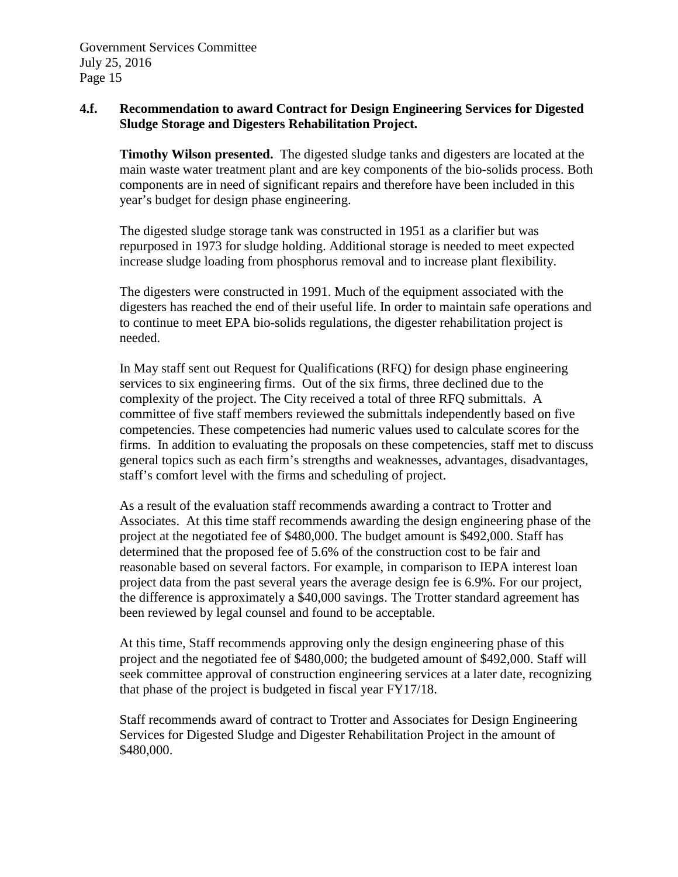# **4.f. Recommendation to award Contract for Design Engineering Services for Digested Sludge Storage and Digesters Rehabilitation Project.**

**Timothy Wilson presented.** The digested sludge tanks and digesters are located at the main waste water treatment plant and are key components of the bio-solids process. Both components are in need of significant repairs and therefore have been included in this year's budget for design phase engineering.

The digested sludge storage tank was constructed in 1951 as a clarifier but was repurposed in 1973 for sludge holding. Additional storage is needed to meet expected increase sludge loading from phosphorus removal and to increase plant flexibility.

The digesters were constructed in 1991. Much of the equipment associated with the digesters has reached the end of their useful life. In order to maintain safe operations and to continue to meet EPA bio-solids regulations, the digester rehabilitation project is needed.

In May staff sent out Request for Qualifications (RFQ) for design phase engineering services to six engineering firms. Out of the six firms, three declined due to the complexity of the project. The City received a total of three RFQ submittals. A committee of five staff members reviewed the submittals independently based on five competencies. These competencies had numeric values used to calculate scores for the firms. In addition to evaluating the proposals on these competencies, staff met to discuss general topics such as each firm's strengths and weaknesses, advantages, disadvantages, staff's comfort level with the firms and scheduling of project.

As a result of the evaluation staff recommends awarding a contract to Trotter and Associates. At this time staff recommends awarding the design engineering phase of the project at the negotiated fee of \$480,000. The budget amount is \$492,000. Staff has determined that the proposed fee of 5.6% of the construction cost to be fair and reasonable based on several factors. For example, in comparison to IEPA interest loan project data from the past several years the average design fee is 6.9%. For our project, the difference is approximately a \$40,000 savings. The Trotter standard agreement has been reviewed by legal counsel and found to be acceptable.

At this time, Staff recommends approving only the design engineering phase of this project and the negotiated fee of \$480,000; the budgeted amount of \$492,000. Staff will seek committee approval of construction engineering services at a later date, recognizing that phase of the project is budgeted in fiscal year FY17/18.

Staff recommends award of contract to Trotter and Associates for Design Engineering Services for Digested Sludge and Digester Rehabilitation Project in the amount of \$480,000.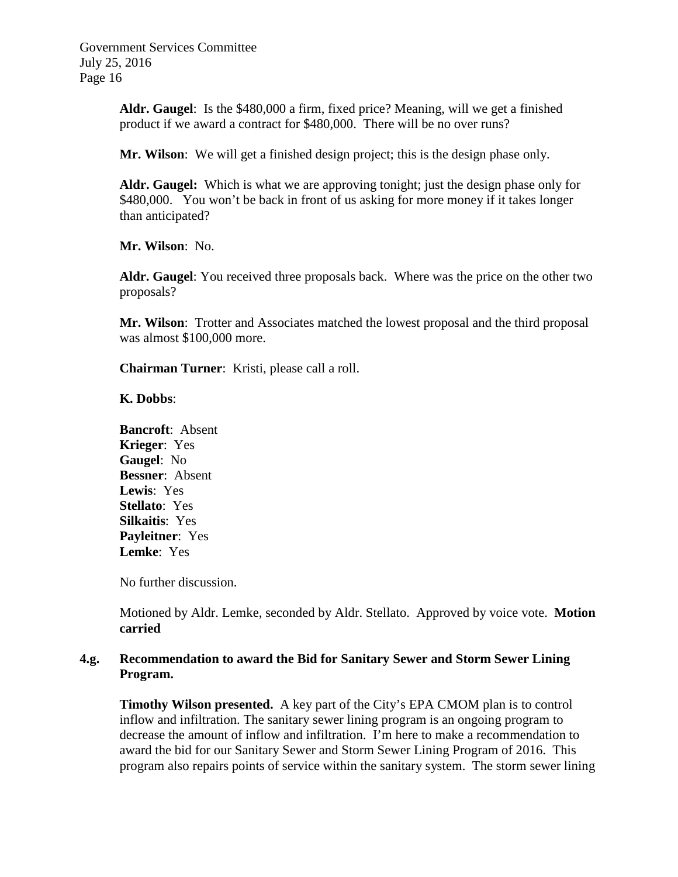> **Aldr. Gaugel**: Is the \$480,000 a firm, fixed price? Meaning, will we get a finished product if we award a contract for \$480,000. There will be no over runs?

**Mr. Wilson**: We will get a finished design project; this is the design phase only.

**Aldr. Gaugel:** Which is what we are approving tonight; just the design phase only for \$480,000. You won't be back in front of us asking for more money if it takes longer than anticipated?

**Mr. Wilson**: No.

**Aldr. Gaugel**: You received three proposals back. Where was the price on the other two proposals?

**Mr. Wilson**: Trotter and Associates matched the lowest proposal and the third proposal was almost \$100,000 more.

**Chairman Turner**: Kristi, please call a roll.

#### **K. Dobbs**:

**Bancroft**: Absent **Krieger**: Yes **Gaugel**: No **Bessner**: Absent **Lewis**: Yes **Stellato**: Yes **Silkaitis**: Yes **Payleitner**: Yes **Lemke**: Yes

No further discussion.

Motioned by Aldr. Lemke, seconded by Aldr. Stellato. Approved by voice vote. **Motion carried**

### **4.g. Recommendation to award the Bid for Sanitary Sewer and Storm Sewer Lining Program.**

**Timothy Wilson presented.** A key part of the City's EPA CMOM plan is to control inflow and infiltration. The sanitary sewer lining program is an ongoing program to decrease the amount of inflow and infiltration. I'm here to make a recommendation to award the bid for our Sanitary Sewer and Storm Sewer Lining Program of 2016. This program also repairs points of service within the sanitary system. The storm sewer lining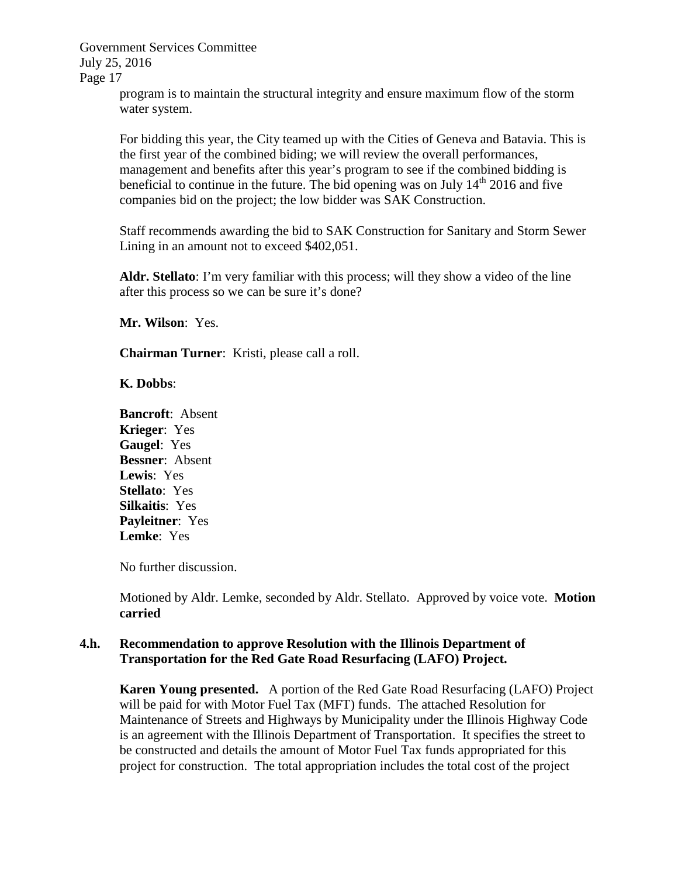> program is to maintain the structural integrity and ensure maximum flow of the storm water system.

For bidding this year, the City teamed up with the Cities of Geneva and Batavia. This is the first year of the combined biding; we will review the overall performances, management and benefits after this year's program to see if the combined bidding is beneficial to continue in the future. The bid opening was on July  $14<sup>th</sup>$  2016 and five companies bid on the project; the low bidder was SAK Construction.

Staff recommends awarding the bid to SAK Construction for Sanitary and Storm Sewer Lining in an amount not to exceed \$402,051.

**Aldr. Stellato**: I'm very familiar with this process; will they show a video of the line after this process so we can be sure it's done?

**Mr. Wilson**: Yes.

**Chairman Turner**: Kristi, please call a roll.

### **K. Dobbs**:

**Bancroft**: Absent **Krieger**: Yes **Gaugel**: Yes **Bessner**: Absent **Lewis**: Yes **Stellato**: Yes **Silkaitis**: Yes **Payleitner**: Yes **Lemke**: Yes

No further discussion.

Motioned by Aldr. Lemke, seconded by Aldr. Stellato. Approved by voice vote. **Motion carried**

### **4.h. Recommendation to approve Resolution with the Illinois Department of Transportation for the Red Gate Road Resurfacing (LAFO) Project.**

**Karen Young presented.** A portion of the Red Gate Road Resurfacing (LAFO) Project will be paid for with Motor Fuel Tax (MFT) funds. The attached Resolution for Maintenance of Streets and Highways by Municipality under the Illinois Highway Code is an agreement with the Illinois Department of Transportation. It specifies the street to be constructed and details the amount of Motor Fuel Tax funds appropriated for this project for construction. The total appropriation includes the total cost of the project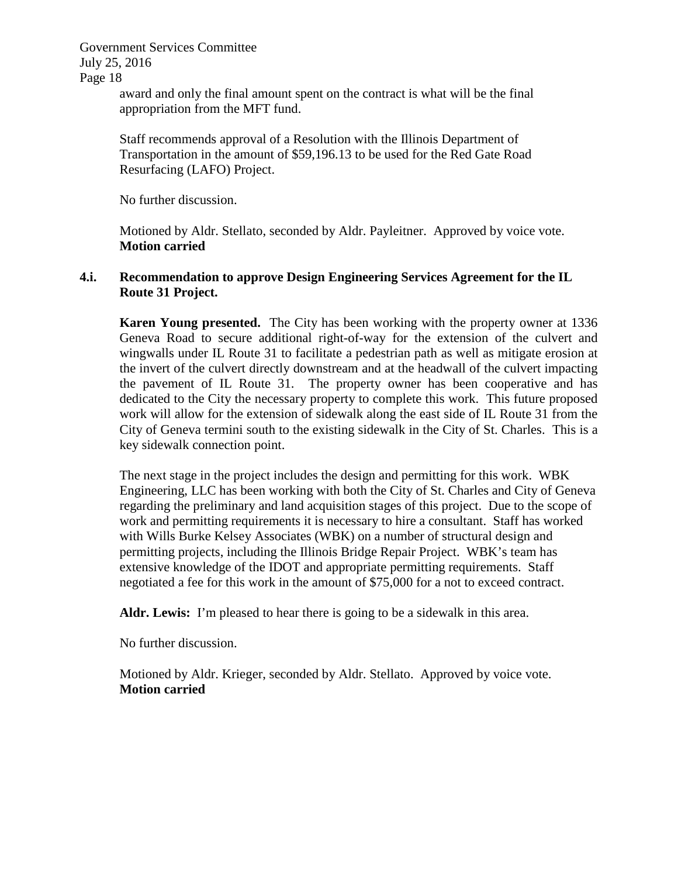Government Services Committee July 25, 2016

Page 18

award and only the final amount spent on the contract is what will be the final appropriation from the MFT fund.

Staff recommends approval of a Resolution with the Illinois Department of Transportation in the amount of \$59,196.13 to be used for the Red Gate Road Resurfacing (LAFO) Project.

No further discussion.

Motioned by Aldr. Stellato, seconded by Aldr. Payleitner. Approved by voice vote. **Motion carried**

# **4.i. Recommendation to approve Design Engineering Services Agreement for the IL Route 31 Project.**

**Karen Young presented.** The City has been working with the property owner at 1336 Geneva Road to secure additional right-of-way for the extension of the culvert and wingwalls under IL Route 31 to facilitate a pedestrian path as well as mitigate erosion at the invert of the culvert directly downstream and at the headwall of the culvert impacting the pavement of IL Route 31. The property owner has been cooperative and has dedicated to the City the necessary property to complete this work. This future proposed work will allow for the extension of sidewalk along the east side of IL Route 31 from the City of Geneva termini south to the existing sidewalk in the City of St. Charles. This is a key sidewalk connection point.

The next stage in the project includes the design and permitting for this work. WBK Engineering, LLC has been working with both the City of St. Charles and City of Geneva regarding the preliminary and land acquisition stages of this project. Due to the scope of work and permitting requirements it is necessary to hire a consultant. Staff has worked with Wills Burke Kelsey Associates (WBK) on a number of structural design and permitting projects, including the Illinois Bridge Repair Project. WBK's team has extensive knowledge of the IDOT and appropriate permitting requirements. Staff negotiated a fee for this work in the amount of \$75,000 for a not to exceed contract.

**Aldr. Lewis:** I'm pleased to hear there is going to be a sidewalk in this area.

No further discussion.

Motioned by Aldr. Krieger, seconded by Aldr. Stellato. Approved by voice vote. **Motion carried**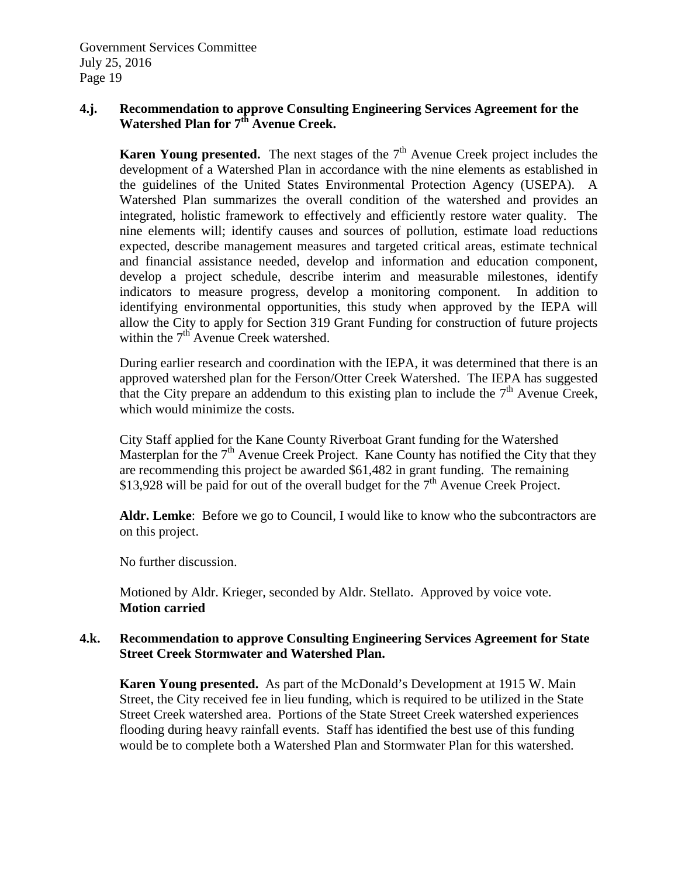# **4.j. Recommendation to approve Consulting Engineering Services Agreement for the Watershed Plan for 7th Avenue Creek.**

**Karen Young presented.** The next stages of the  $7<sup>th</sup>$  Avenue Creek project includes the development of a Watershed Plan in accordance with the nine elements as established in the guidelines of the United States Environmental Protection Agency (USEPA). A Watershed Plan summarizes the overall condition of the watershed and provides an integrated, holistic framework to effectively and efficiently restore water quality. The nine elements will; identify causes and sources of pollution, estimate load reductions expected, describe management measures and targeted critical areas, estimate technical and financial assistance needed, develop and information and education component, develop a project schedule, describe interim and measurable milestones, identify indicators to measure progress, develop a monitoring component. In addition to identifying environmental opportunities, this study when approved by the IEPA will allow the City to apply for Section 319 Grant Funding for construction of future projects within the  $7<sup>th</sup>$  Avenue Creek watershed.

During earlier research and coordination with the IEPA, it was determined that there is an approved watershed plan for the Ferson/Otter Creek Watershed. The IEPA has suggested that the City prepare an addendum to this existing plan to include the  $7<sup>th</sup>$  Avenue Creek, which would minimize the costs.

City Staff applied for the Kane County Riverboat Grant funding for the Watershed Masterplan for the  $7<sup>th</sup>$  Avenue Creek Project. Kane County has notified the City that they are recommending this project be awarded \$61,482 in grant funding. The remaining \$13,928 will be paid for out of the overall budget for the  $7<sup>th</sup>$  Avenue Creek Project.

**Aldr. Lemke**: Before we go to Council, I would like to know who the subcontractors are on this project.

No further discussion.

Motioned by Aldr. Krieger, seconded by Aldr. Stellato. Approved by voice vote. **Motion carried**

### **4.k. Recommendation to approve Consulting Engineering Services Agreement for State Street Creek Stormwater and Watershed Plan.**

**Karen Young presented.** As part of the McDonald's Development at 1915 W. Main Street, the City received fee in lieu funding, which is required to be utilized in the State Street Creek watershed area. Portions of the State Street Creek watershed experiences flooding during heavy rainfall events. Staff has identified the best use of this funding would be to complete both a Watershed Plan and Stormwater Plan for this watershed.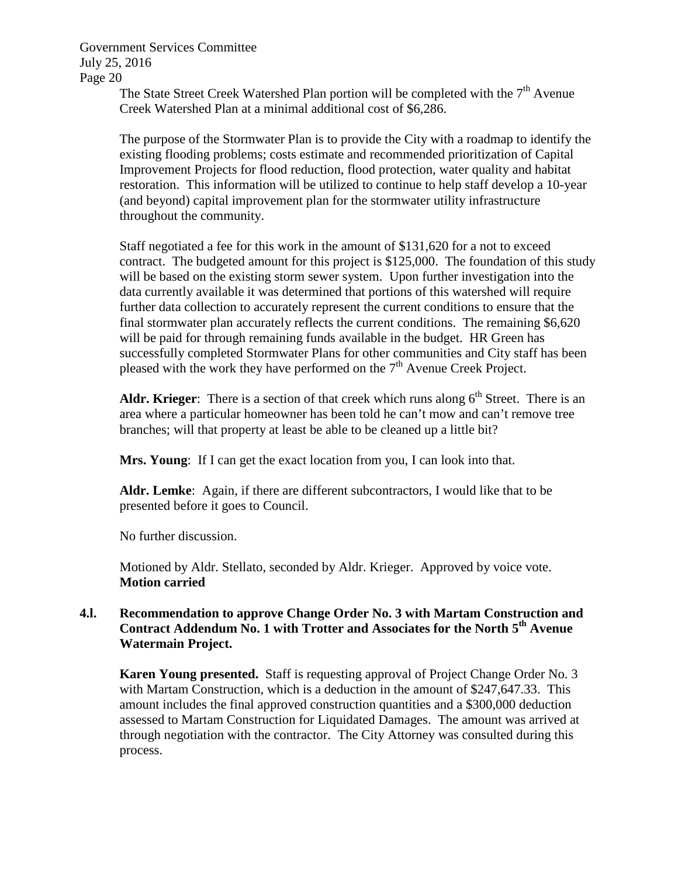The State Street Creek Watershed Plan portion will be completed with the  $7<sup>th</sup>$  Avenue Creek Watershed Plan at a minimal additional cost of \$6,286.

The purpose of the Stormwater Plan is to provide the City with a roadmap to identify the existing flooding problems; costs estimate and recommended prioritization of Capital Improvement Projects for flood reduction, flood protection, water quality and habitat restoration. This information will be utilized to continue to help staff develop a 10-year (and beyond) capital improvement plan for the stormwater utility infrastructure throughout the community.

Staff negotiated a fee for this work in the amount of \$131,620 for a not to exceed contract. The budgeted amount for this project is \$125,000. The foundation of this study will be based on the existing storm sewer system. Upon further investigation into the data currently available it was determined that portions of this watershed will require further data collection to accurately represent the current conditions to ensure that the final stormwater plan accurately reflects the current conditions. The remaining \$6,620 will be paid for through remaining funds available in the budget. HR Green has successfully completed Stormwater Plans for other communities and City staff has been pleased with the work they have performed on the  $7<sup>th</sup>$  Avenue Creek Project.

**Aldr. Krieger**: There is a section of that creek which runs along  $6<sup>th</sup>$  Street. There is an area where a particular homeowner has been told he can't mow and can't remove tree branches; will that property at least be able to be cleaned up a little bit?

**Mrs. Young**: If I can get the exact location from you, I can look into that.

**Aldr. Lemke**: Again, if there are different subcontractors, I would like that to be presented before it goes to Council.

No further discussion.

Motioned by Aldr. Stellato, seconded by Aldr. Krieger. Approved by voice vote. **Motion carried**

### **4.l. Recommendation to approve Change Order No. 3 with Martam Construction and**  Contract Addendum No. 1 with Trotter and Associates for the North 5<sup>th</sup> Avenue **Watermain Project.**

**Karen Young presented.** Staff is requesting approval of Project Change Order No. 3 with Martam Construction, which is a deduction in the amount of \$247,647.33. This amount includes the final approved construction quantities and a \$300,000 deduction assessed to Martam Construction for Liquidated Damages. The amount was arrived at through negotiation with the contractor. The City Attorney was consulted during this process.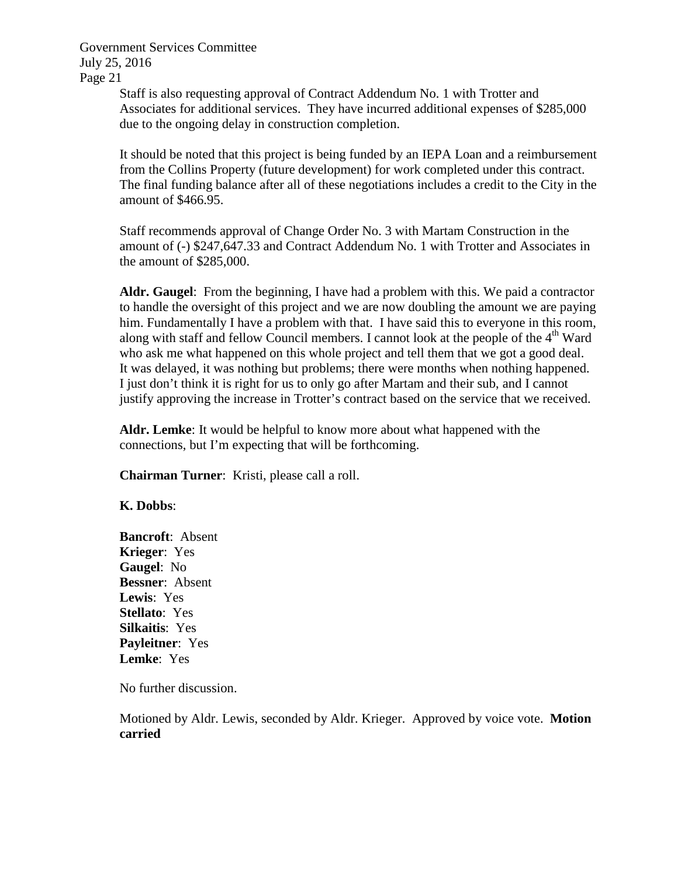> Staff is also requesting approval of Contract Addendum No. 1 with Trotter and Associates for additional services. They have incurred additional expenses of \$285,000 due to the ongoing delay in construction completion.

It should be noted that this project is being funded by an IEPA Loan and a reimbursement from the Collins Property (future development) for work completed under this contract. The final funding balance after all of these negotiations includes a credit to the City in the amount of \$466.95.

Staff recommends approval of Change Order No. 3 with Martam Construction in the amount of (-) \$247,647.33 and Contract Addendum No. 1 with Trotter and Associates in the amount of \$285,000.

**Aldr. Gaugel**: From the beginning, I have had a problem with this. We paid a contractor to handle the oversight of this project and we are now doubling the amount we are paying him. Fundamentally I have a problem with that. I have said this to everyone in this room, along with staff and fellow Council members. I cannot look at the people of the  $4<sup>th</sup>$  Ward who ask me what happened on this whole project and tell them that we got a good deal. It was delayed, it was nothing but problems; there were months when nothing happened. I just don't think it is right for us to only go after Martam and their sub, and I cannot justify approving the increase in Trotter's contract based on the service that we received.

**Aldr. Lemke**: It would be helpful to know more about what happened with the connections, but I'm expecting that will be forthcoming.

**Chairman Turner**: Kristi, please call a roll.

### **K. Dobbs**:

**Bancroft**: Absent **Krieger**: Yes **Gaugel**: No **Bessner**: Absent **Lewis**: Yes **Stellato**: Yes **Silkaitis**: Yes **Payleitner**: Yes **Lemke**: Yes

No further discussion.

Motioned by Aldr. Lewis, seconded by Aldr. Krieger. Approved by voice vote. **Motion carried**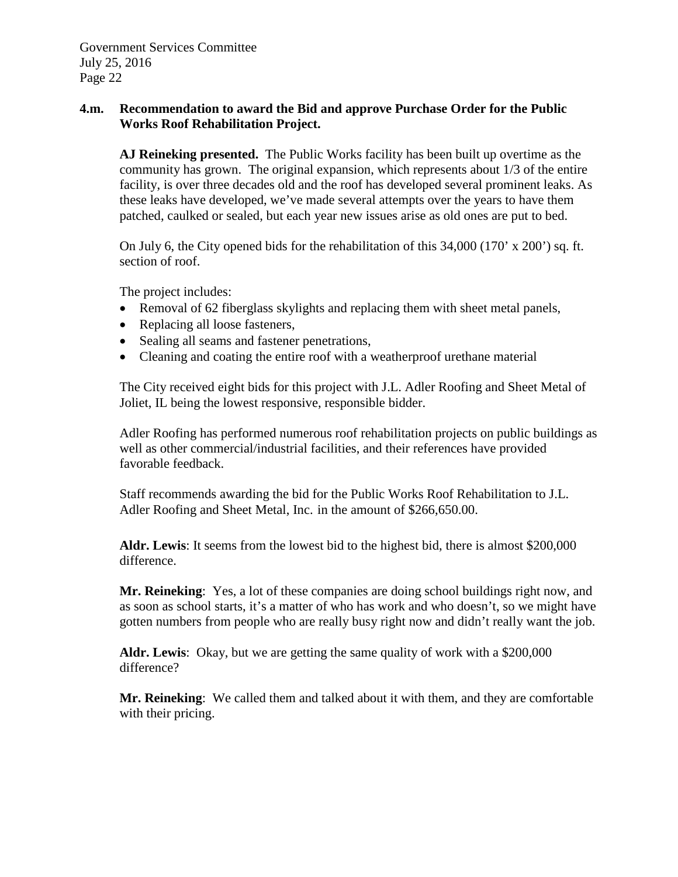# **4.m. Recommendation to award the Bid and approve Purchase Order for the Public Works Roof Rehabilitation Project.**

**AJ Reineking presented.** The Public Works facility has been built up overtime as the community has grown. The original expansion, which represents about 1/3 of the entire facility, is over three decades old and the roof has developed several prominent leaks. As these leaks have developed, we've made several attempts over the years to have them patched, caulked or sealed, but each year new issues arise as old ones are put to bed.

On July 6, the City opened bids for the rehabilitation of this 34,000 (170' x 200') sq. ft. section of roof.

The project includes:

- Removal of 62 fiberglass skylights and replacing them with sheet metal panels,
- Replacing all loose fasteners,
- Sealing all seams and fastener penetrations,
- Cleaning and coating the entire roof with a weatherproof urethane material

The City received eight bids for this project with J.L. Adler Roofing and Sheet Metal of Joliet, IL being the lowest responsive, responsible bidder.

Adler Roofing has performed numerous roof rehabilitation projects on public buildings as well as other commercial/industrial facilities, and their references have provided favorable feedback.

Staff recommends awarding the bid for the Public Works Roof Rehabilitation to J.L. Adler Roofing and Sheet Metal, Inc. in the amount of \$266,650.00.

**Aldr. Lewis**: It seems from the lowest bid to the highest bid, there is almost \$200,000 difference.

**Mr. Reineking**: Yes, a lot of these companies are doing school buildings right now, and as soon as school starts, it's a matter of who has work and who doesn't, so we might have gotten numbers from people who are really busy right now and didn't really want the job.

**Aldr. Lewis**: Okay, but we are getting the same quality of work with a \$200,000 difference?

**Mr. Reineking**: We called them and talked about it with them, and they are comfortable with their pricing.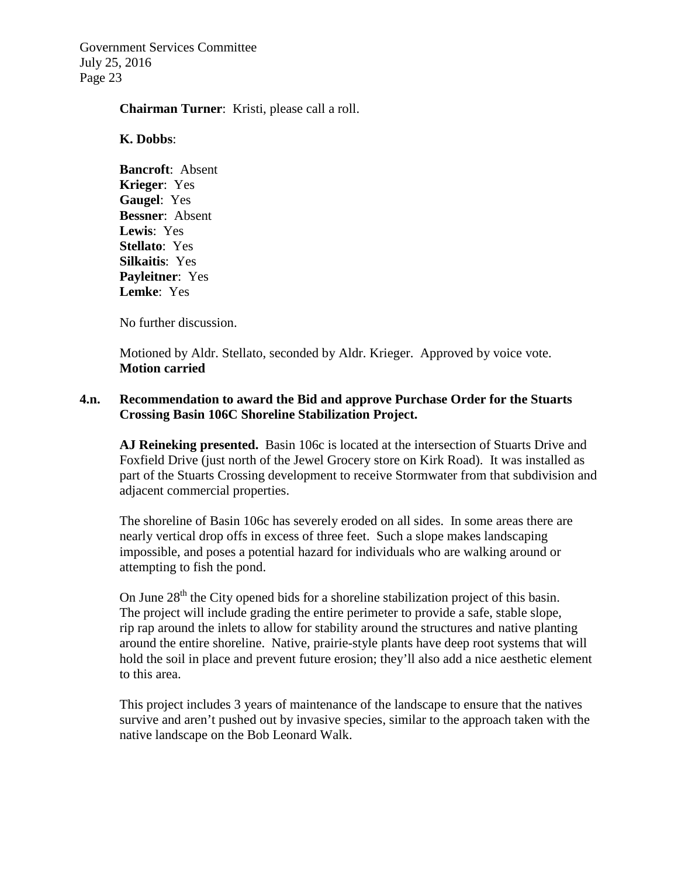#### **Chairman Turner**: Kristi, please call a roll.

#### **K. Dobbs**:

**Bancroft**: Absent **Krieger**: Yes **Gaugel**: Yes **Bessner**: Absent **Lewis**: Yes **Stellato**: Yes **Silkaitis**: Yes **Payleitner**: Yes **Lemke**: Yes

No further discussion.

Motioned by Aldr. Stellato, seconded by Aldr. Krieger. Approved by voice vote. **Motion carried**

### **4.n. Recommendation to award the Bid and approve Purchase Order for the Stuarts Crossing Basin 106C Shoreline Stabilization Project.**

**AJ Reineking presented.** Basin 106c is located at the intersection of Stuarts Drive and Foxfield Drive (just north of the Jewel Grocery store on Kirk Road). It was installed as part of the Stuarts Crossing development to receive Stormwater from that subdivision and adjacent commercial properties.

The shoreline of Basin 106c has severely eroded on all sides. In some areas there are nearly vertical drop offs in excess of three feet. Such a slope makes landscaping impossible, and poses a potential hazard for individuals who are walking around or attempting to fish the pond.

On June  $28<sup>th</sup>$  the City opened bids for a shoreline stabilization project of this basin. The project will include grading the entire perimeter to provide a safe, stable slope, rip rap around the inlets to allow for stability around the structures and native planting around the entire shoreline. Native, prairie-style plants have deep root systems that will hold the soil in place and prevent future erosion; they'll also add a nice aesthetic element to this area.

This project includes 3 years of maintenance of the landscape to ensure that the natives survive and aren't pushed out by invasive species, similar to the approach taken with the native landscape on the Bob Leonard Walk.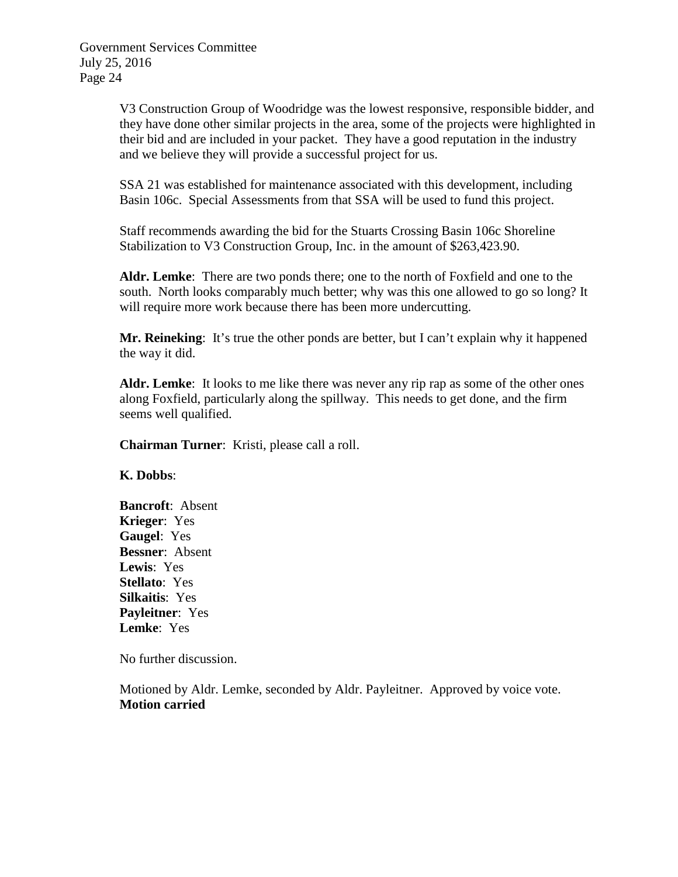V3 Construction Group of Woodridge was the lowest responsive, responsible bidder, and they have done other similar projects in the area, some of the projects were highlighted in their bid and are included in your packet. They have a good reputation in the industry and we believe they will provide a successful project for us.

SSA 21 was established for maintenance associated with this development, including Basin 106c. Special Assessments from that SSA will be used to fund this project.

Staff recommends awarding the bid for the Stuarts Crossing Basin 106c Shoreline Stabilization to V3 Construction Group, Inc. in the amount of \$263,423.90.

**Aldr. Lemke**: There are two ponds there; one to the north of Foxfield and one to the south. North looks comparably much better; why was this one allowed to go so long? It will require more work because there has been more undercutting.

**Mr. Reineking**: It's true the other ponds are better, but I can't explain why it happened the way it did.

**Aldr. Lemke**: It looks to me like there was never any rip rap as some of the other ones along Foxfield, particularly along the spillway. This needs to get done, and the firm seems well qualified.

**Chairman Turner**: Kristi, please call a roll.

**K. Dobbs**:

**Bancroft**: Absent **Krieger**: Yes **Gaugel**: Yes **Bessner**: Absent **Lewis**: Yes **Stellato**: Yes **Silkaitis**: Yes **Payleitner**: Yes **Lemke**: Yes

No further discussion.

Motioned by Aldr. Lemke, seconded by Aldr. Payleitner. Approved by voice vote. **Motion carried**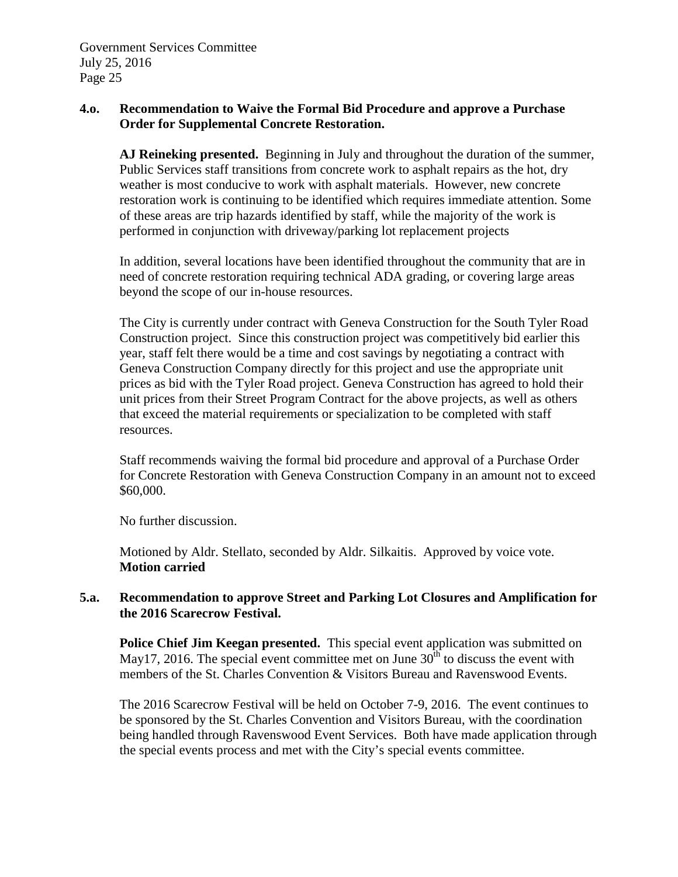# **4.o. Recommendation to Waive the Formal Bid Procedure and approve a Purchase Order for Supplemental Concrete Restoration.**

**AJ Reineking presented.** Beginning in July and throughout the duration of the summer, Public Services staff transitions from concrete work to asphalt repairs as the hot, dry weather is most conducive to work with asphalt materials. However, new concrete restoration work is continuing to be identified which requires immediate attention. Some of these areas are trip hazards identified by staff, while the majority of the work is performed in conjunction with driveway/parking lot replacement projects

In addition, several locations have been identified throughout the community that are in need of concrete restoration requiring technical ADA grading, or covering large areas beyond the scope of our in-house resources.

The City is currently under contract with Geneva Construction for the South Tyler Road Construction project. Since this construction project was competitively bid earlier this year, staff felt there would be a time and cost savings by negotiating a contract with Geneva Construction Company directly for this project and use the appropriate unit prices as bid with the Tyler Road project. Geneva Construction has agreed to hold their unit prices from their Street Program Contract for the above projects, as well as others that exceed the material requirements or specialization to be completed with staff resources.

Staff recommends waiving the formal bid procedure and approval of a Purchase Order for Concrete Restoration with Geneva Construction Company in an amount not to exceed \$60,000.

No further discussion.

Motioned by Aldr. Stellato, seconded by Aldr. Silkaitis. Approved by voice vote. **Motion carried**

# **5.a. Recommendation to approve Street and Parking Lot Closures and Amplification for the 2016 Scarecrow Festival.**

**Police Chief Jim Keegan presented.** This special event application was submitted on May17, 2016. The special event committee met on June  $30<sup>th</sup>$  to discuss the event with members of the St. Charles Convention & Visitors Bureau and Ravenswood Events.

The 2016 Scarecrow Festival will be held on October 7-9, 2016. The event continues to be sponsored by the St. Charles Convention and Visitors Bureau, with the coordination being handled through Ravenswood Event Services. Both have made application through the special events process and met with the City's special events committee.